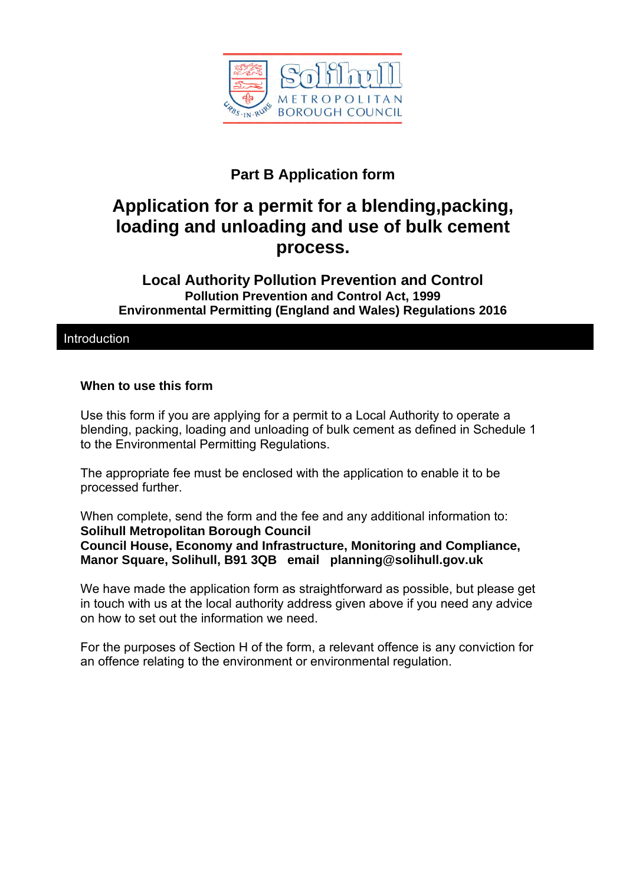

## **Part B Application form**

# **Application for a permit for a blending,packing, loading and unloading and use of bulk cement process.**

#### **Local Authority Pollution Prevention and Control Pollution Prevention and Control Act, 1999 Environmental Permitting (England and Wales) Regulations 2016**

#### Introduction

#### **When to use this form**

Use this form if you are applying for a permit to a Local Authority to operate a blending, packing, loading and unloading of bulk cement as defined in Schedule 1 to the Environmental Permitting Regulations.

The appropriate fee must be enclosed with the application to enable it to be processed further.

When complete, send the form and the fee and any additional information to: **Solihull Metropolitan Borough Council Council House, Economy and Infrastructure, Monitoring and Compliance, Manor Square, Solihull, B91 3QB email planning@solihull.gov.uk**

We have made the application form as straightforward as possible, but please get in touch with us at the local authority address given above if you need any advice on how to set out the information we need.

For the purposes of Section H of the form, a relevant offence is any conviction for an offence relating to the environment or environmental regulation.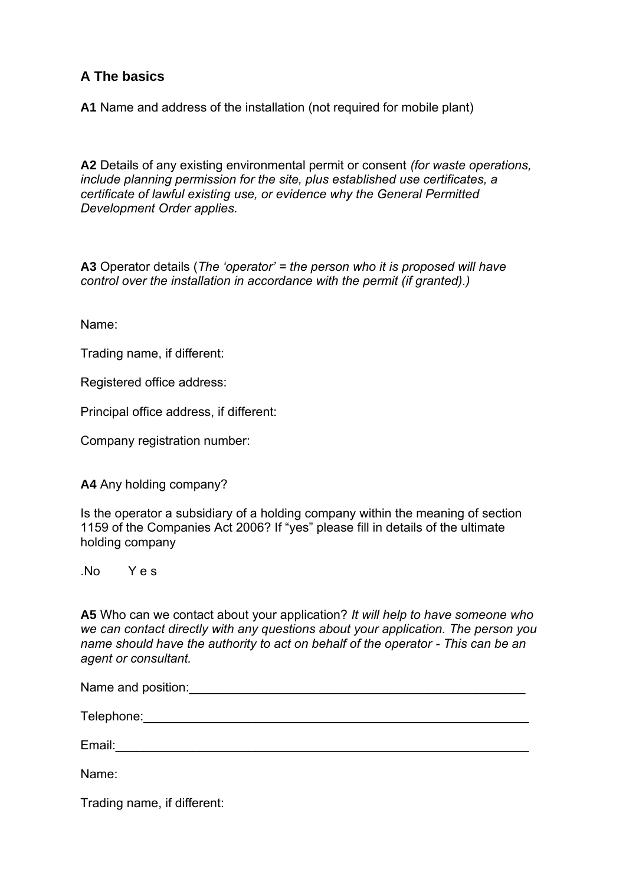## **A The basics**

**A1** Name and address of the installation (not required for mobile plant)

**A2** Details of any existing environmental permit or consent *(for waste operations, include planning permission for the site, plus established use certificates, a certificate of lawful existing use, or evidence why the General Permitted Development Order applies.*

**A3** Operator details (*The 'operator' = the person who it is proposed will have control over the installation in accordance with the permit (if granted).)*

Name:

Trading name, if different:

Registered office address:

Principal office address, if different:

Company registration number:

**A4** Any holding company?

Is the operator a subsidiary of a holding company within the meaning of section 1159 of the Companies Act 2006? If "yes" please fill in details of the ultimate holding company

No Yes

**A5** Who can we contact about your application? *It will help to have someone who we can contact directly with any questions about your application. The person you name should have the authority to act on behalf of the operator - This can be an agent or consultant.*

| Name and position: |
|--------------------|
| Telephone:         |
| Email:             |

Name:

Trading name, if different: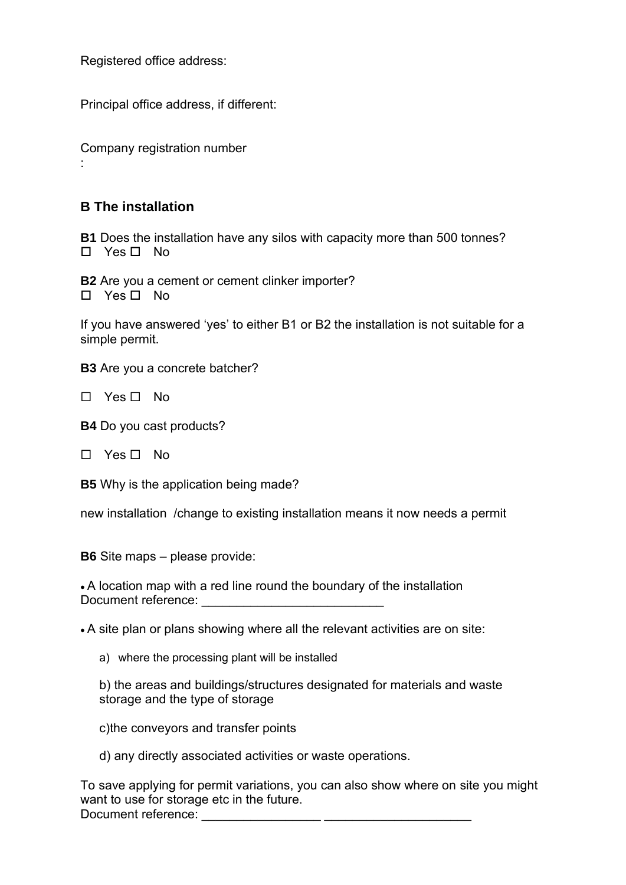Registered office address:

Principal office address, if different:

Company registration number :

#### **B The installation**

**B1** Does the installation have any silos with capacity more than 500 tonnes?  $\square$  Yes  $\square$  No

**B2** Are you a cement or cement clinker importer?  $\square$  Yes  $\square$  No

If you have answered 'yes' to either B1 or B2 the installation is not suitable for a simple permit.

**B3** Are you a concrete batcher?

 $\Box$  Yes  $\Box$  No

**B4** Do you cast products?

 $\Box$  Yes  $\Box$  No

**B5** Why is the application being made?

new installation /change to existing installation means it now needs a permit

**B6** Site maps – please provide:

• A location map with a red line round the boundary of the installation Document reference:

• A site plan or plans showing where all the relevant activities are on site:

a) where the processing plant will be installed

b) the areas and buildings/structures designated for materials and waste storage and the type of storage

c)the conveyors and transfer points

d) any directly associated activities or waste operations.

To save applying for permit variations, you can also show where on site you might want to use for storage etc in the future. Document reference: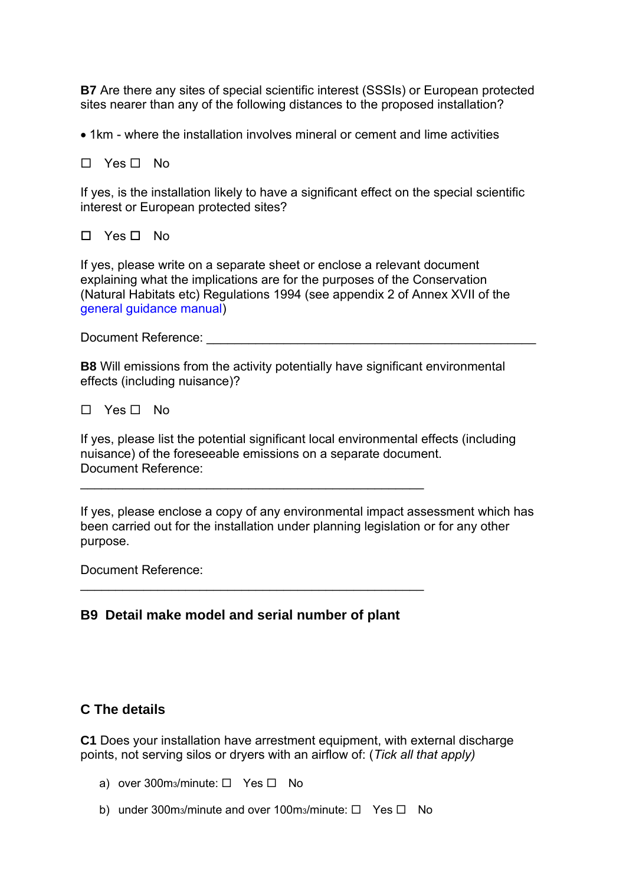**B7** Are there any sites of special scientific interest (SSSIs) or European protected sites nearer than any of the following distances to the proposed installation?

• 1km - where the installation involves mineral or cement and lime activities

 $\Box$  Yes  $\Box$  No

If yes, is the installation likely to have a significant effect on the special scientific interest or European protected sites?

 $\square$  Yes  $\square$  No

If yes, please write on a separate sheet or enclose a relevant document explaining what the implications are for the purposes of the Conservation (Natural Habitats etc) Regulations 1994 (see appendix 2 of Annex XVII of the general guidance manual)

Document Reference:

**B8** Will emissions from the activity potentially have significant environmental effects (including nuisance)?

 $\Box$  Yes  $\Box$  No

If yes, please list the potential significant local environmental effects (including nuisance) of the foreseeable emissions on a separate document. Document Reference:

If yes, please enclose a copy of any environmental impact assessment which has been carried out for the installation under planning legislation or for any other purpose.

Document Reference:

#### **B9 Detail make model and serial number of plant**

\_\_\_\_\_\_\_\_\_\_\_\_\_\_\_\_\_\_\_\_\_\_\_\_\_\_\_\_\_\_\_\_\_\_\_\_\_\_\_\_\_\_\_\_\_\_\_\_\_

\_\_\_\_\_\_\_\_\_\_\_\_\_\_\_\_\_\_\_\_\_\_\_\_\_\_\_\_\_\_\_\_\_\_\_\_\_\_\_\_\_\_\_\_\_\_\_\_\_

#### **C The details**

**C1** Does your installation have arrestment equipment, with external discharge points, not serving silos or dryers with an airflow of: (*Tick all that apply)*

- a) over 300m<sub>3</sub>/minute:  $\Box$  Yes  $\Box$  No
- b) under 300m3/minute and over 100m3/minute: □ Yes □ No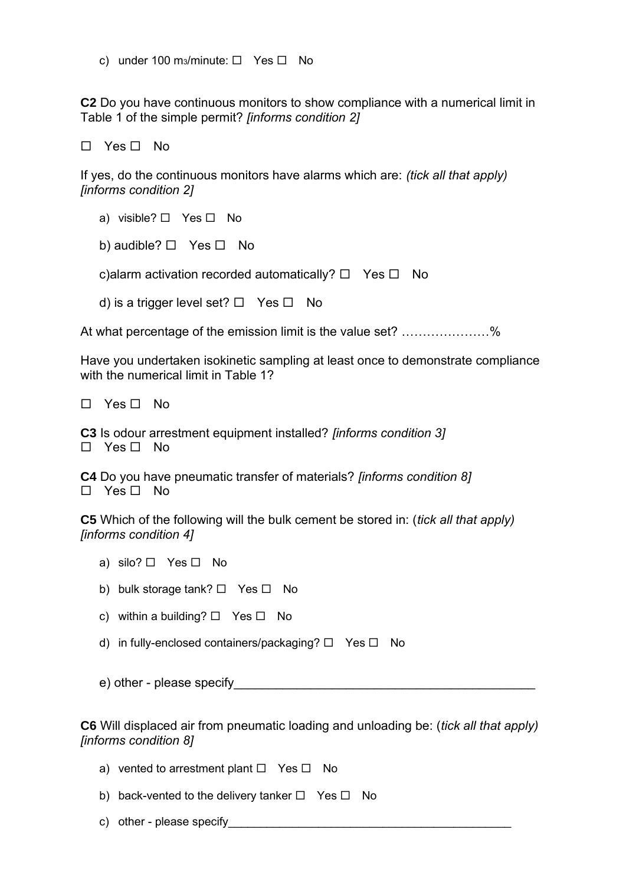c) under 100 m<sub>3</sub>/minute:  $\Box$  Yes  $\Box$  No

**C2** Do you have continuous monitors to show compliance with a numerical limit in Table 1 of the simple permit? *[informs condition 2]*

 $\Box$  Yes  $\Box$  No

If yes, do the continuous monitors have alarms which are: *(tick all that apply) [informs condition 2]*

a) visible?  $\Box$  Yes  $\Box$  No

b) audible?  $\Box$  Yes  $\Box$  No

c)alarm activation recorded automatically?  $\Box$  Yes  $\Box$  No

d) is a trigger level set?  $\Box$  Yes  $\Box$  No

At what percentage of the emission limit is the value set? …………………%

Have you undertaken isokinetic sampling at least once to demonstrate compliance with the numerical limit in Table 1?

 $\Box$  Yes  $\Box$  No

**C3** Is odour arrestment equipment installed? *[informs condition 3]*  $\Box$  Yes  $\Box$  No

**C4** Do you have pneumatic transfer of materials? *[informs condition 8]*  $\Box$  Yes  $\Box$  No

**C5** Which of the following will the bulk cement be stored in: (*tick all that apply) [informs condition 4]*

- a) silo?  $\Box$  Yes  $\Box$  No
- b) bulk storage tank?  $\Box$  Yes  $\Box$  No
- c) within a building?  $\Box$  Yes  $\Box$  No
- d) in fully-enclosed containers/packaging?  $\Box$  Yes  $\Box$  No

e) other - please specify

**C6** Will displaced air from pneumatic loading and unloading be: (*tick all that apply) [informs condition 8]*

- a) vented to arrestment plant  $\Box$  Yes  $\Box$  No
- b) back-vented to the delivery tanker  $\Box$  Yes  $\Box$  No
- c) other please specify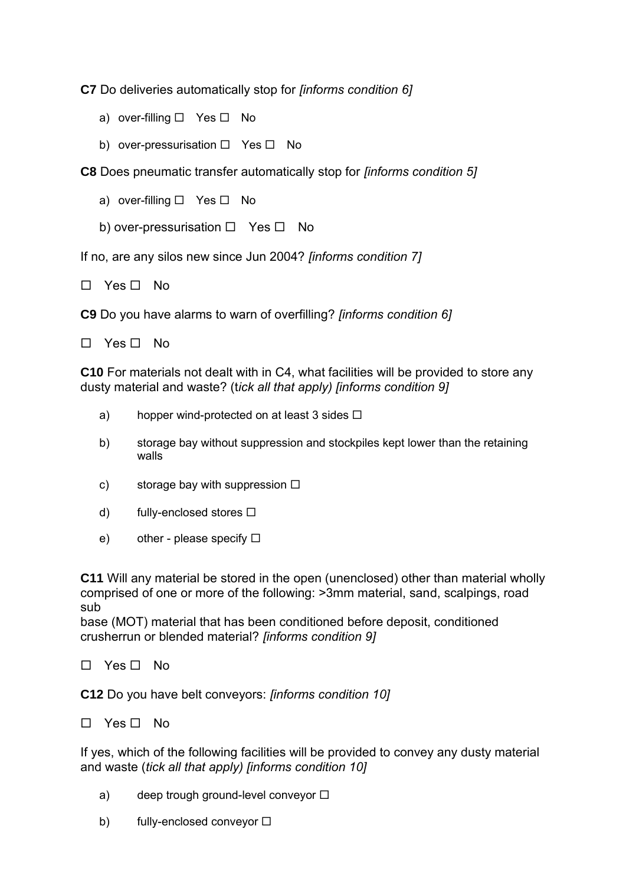**C7** Do deliveries automatically stop for *[informs condition 6]*

- a) over-filling  $\Box$  Yes  $\Box$  No
- b) over-pressurisation  $\Box$  Yes  $\Box$  No

**C8** Does pneumatic transfer automatically stop for *[informs condition 5]*

- a) over-filling  $\Box$  Yes  $\Box$  No
- b) over-pressurisation  $\Box$  Yes  $\Box$  No

If no, are any silos new since Jun 2004? *[informs condition 7]*

 $\Box$  Yes  $\Box$  No

**C9** Do you have alarms to warn of overfilling? *[informs condition 6]*

 $\Box$  Yes  $\Box$  No

**C10** For materials not dealt with in C4, what facilities will be provided to store any dusty material and waste? (t*ick all that apply) [informs condition 9]*

- a) hopper wind-protected on at least 3 sides  $\Box$
- b) storage bay without suppression and stockpiles kept lower than the retaining walls
- c) storage bay with suppression  $\Box$
- d) fully-enclosed stores  $\Box$
- e) other please specify  $\square$

**C11** Will any material be stored in the open (unenclosed) other than material wholly comprised of one or more of the following: >3mm material, sand, scalpings, road sub

base (MOT) material that has been conditioned before deposit, conditioned crusherrun or blended material? *[informs condition 9]*

 $\Box$  Yes  $\Box$  No

**C12** Do you have belt conveyors: *[informs condition 10]*

 $\Box$  Yes  $\Box$  No

If yes, which of the following facilities will be provided to convey any dusty material and waste (*tick all that apply) [informs condition 10]*

- a) deep trough ground-level conveyor  $\Box$
- b) fully-enclosed conveyor  $\Box$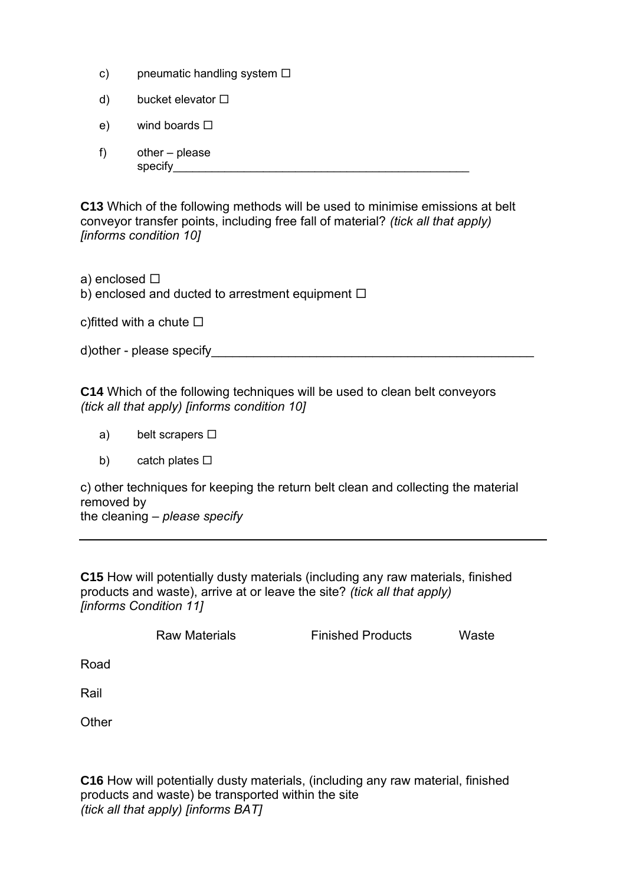- c) pneumatic handling system  $\Box$
- d) bucket elevator  $\square$
- e) wind boards  $\square$
- f) other please specify

**C13** Which of the following methods will be used to minimise emissions at belt conveyor transfer points, including free fall of material? *(tick all that apply) [informs condition 10]*

a) enclosed  $\square$ b) enclosed and ducted to arrestment equipment  $\Box$ 

c) fitted with a chute  $\square$ 

d)other - please specify

**C14** Which of the following techniques will be used to clean belt conveyors *(tick all that apply) [informs condition 10]*

- a) belt scrapers  $\square$
- b) catch plates  $\square$

c) other techniques for keeping the return belt clean and collecting the material removed by the cleaning – *please specify*

**C15** How will potentially dusty materials (including any raw materials, finished products and waste), arrive at or leave the site? *(tick all that apply) [informs Condition 11]*

| <b>Finished Products</b><br><b>Raw Materials</b> | Waste |
|--------------------------------------------------|-------|
|--------------------------------------------------|-------|

Road

Rail

**Other** 

**C16** How will potentially dusty materials, (including any raw material, finished products and waste) be transported within the site *(tick all that apply) [informs BAT]*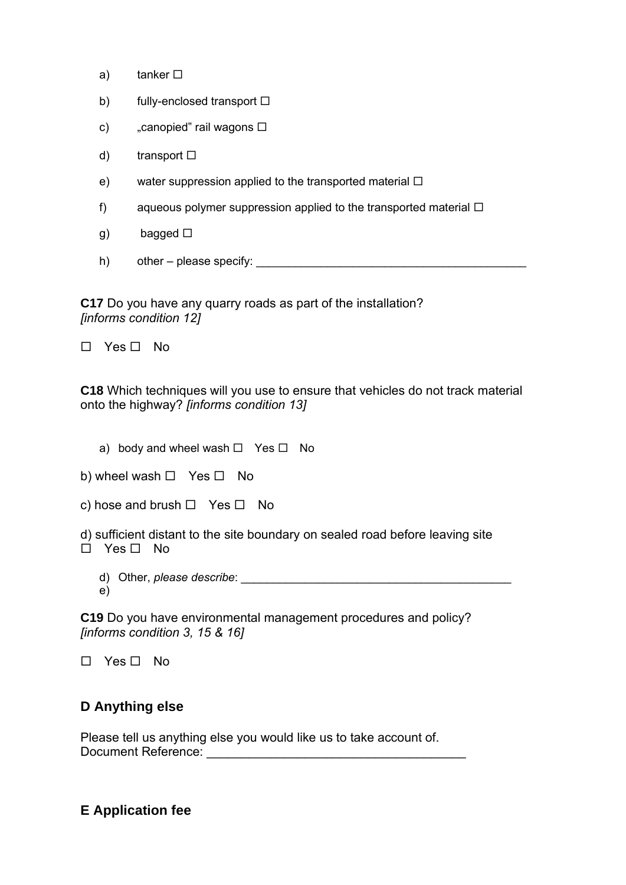- a) tanker  $\square$
- b) fully-enclosed transport  $\square$
- c) "canopied" rail wagons  $\square$
- d) transport  $\square$
- e) water suppression applied to the transported material  $\Box$
- f) aqueous polymer suppression applied to the transported material  $\Box$
- g) bagged □
- h) other please specify:

**C17** Do you have any quarry roads as part of the installation? *[informs condition 12]*

 $\Box$  Yes  $\Box$  No

**C18** Which techniques will you use to ensure that vehicles do not track material onto the highway? *[informs condition 13]*

a) body and wheel wash  $\Box$  Yes  $\Box$  No

b) wheel wash  $\Box$  Yes  $\Box$  No

c) hose and brush  $\Box$  Yes  $\Box$  No

d) sufficient distant to the site boundary on sealed road before leaving site  $\square$  Yes  $\square$  No

d) Other, *please describe*: \_\_\_\_\_\_\_\_\_\_\_\_\_\_\_\_\_\_\_\_\_\_\_\_\_\_\_\_\_\_\_\_\_\_\_\_\_\_\_\_\_\_ e)

**C19** Do you have environmental management procedures and policy? *[informs condition 3, 15 & 16]*

 $\Box$  Yes  $\Box$  No

#### **D Anything else**

Please tell us anything else you would like us to take account of. Document Reference: \_\_\_\_\_\_\_\_\_\_\_\_\_\_\_\_\_\_\_\_\_\_\_\_\_\_\_\_\_\_\_\_\_\_\_\_\_

## **E Application fee**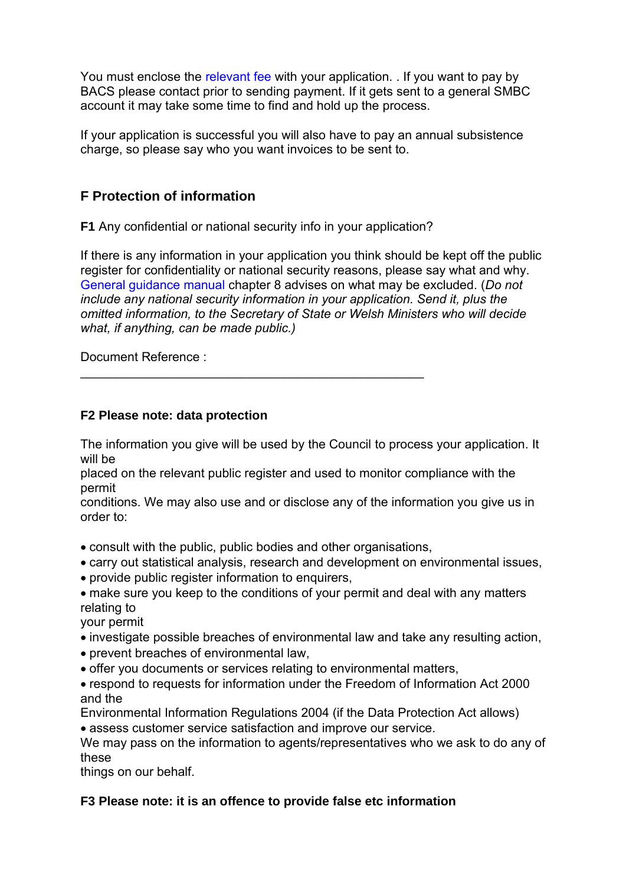You must enclose the relevant fee with your application. If you want to pay by BACS please contact prior to sending payment. If it gets sent to a general SMBC account it may take some time to find and hold up the process.

If your application is successful you will also have to pay an annual subsistence charge, so please say who you want invoices to be sent to.

## **F Protection of information**

**F1** Any confidential or national security info in your application?

\_\_\_\_\_\_\_\_\_\_\_\_\_\_\_\_\_\_\_\_\_\_\_\_\_\_\_\_\_\_\_\_\_\_\_\_\_\_\_\_\_\_\_\_\_\_\_\_\_

If there is any information in your application you think should be kept off the public register for confidentiality or national security reasons, please say what and why. General guidance manual chapter 8 advises on what may be excluded. (*Do not include any national security information in your application. Send it, plus the omitted information, to the Secretary of State or Welsh Ministers who will decide what, if anything, can be made public.)*

Document Reference :

#### **F2 Please note: data protection**

The information you give will be used by the Council to process your application. It will be

placed on the relevant public register and used to monitor compliance with the permit

conditions. We may also use and or disclose any of the information you give us in order to:

- consult with the public, public bodies and other organisations,
- carry out statistical analysis, research and development on environmental issues,
- provide public register information to enquirers,
- make sure you keep to the conditions of your permit and deal with any matters relating to

your permit

- investigate possible breaches of environmental law and take any resulting action,
- prevent breaches of environmental law,
- offer you documents or services relating to environmental matters,
- respond to requests for information under the Freedom of Information Act 2000 and the

Environmental Information Regulations 2004 (if the Data Protection Act allows) • assess customer service satisfaction and improve our service.

We may pass on the information to agents/representatives who we ask to do any of these

things on our behalf.

## **F3 Please note: it is an offence to provide false etc information**